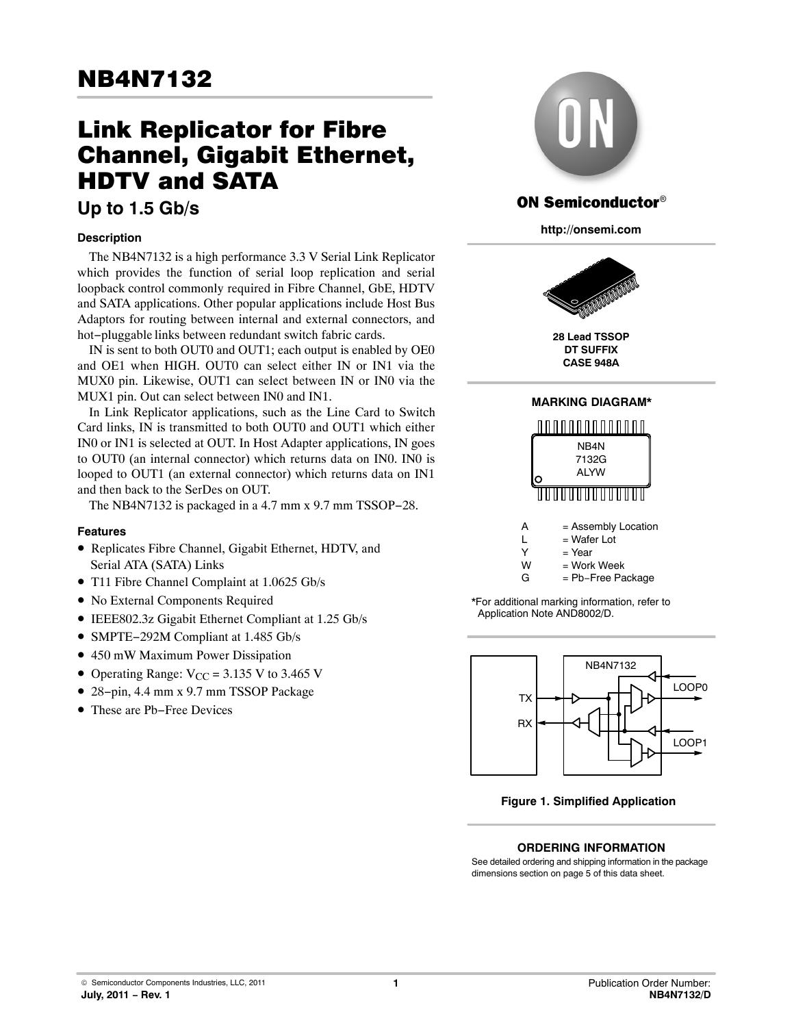# Link Replicator for Fibre Channel, Gigabit Ethernet, HDTV and SATA

# **Up to 1.5 Gb/s**

## **Description**

The NB4N7132 is a high performance 3.3 V Serial Link Replicator which provides the function of serial loop replication and serial loopback control commonly required in Fibre Channel, GbE, HDTV and SATA applications. Other popular applications include Host Bus Adaptors for routing between internal and external connectors, and hot−pluggable links between redundant switch fabric cards.

IN is sent to both OUT0 and OUT1; each output is enabled by OE0 and OE1 when HIGH. OUT0 can select either IN or IN1 via the MUX0 pin. Likewise, OUT1 can select between IN or IN0 via the MUX1 pin. Out can select between IN0 and IN1.

In Link Replicator applications, such as the Line Card to Switch Card links, IN is transmitted to both OUT0 and OUT1 which either IN0 or IN1 is selected at OUT. In Host Adapter applications, IN goes to OUT0 (an internal connector) which returns data on IN0. IN0 is looped to OUT1 (an external connector) which returns data on IN1 and then back to the SerDes on OUT.

The NB4N7132 is packaged in a 4.7 mm x 9.7 mm TSSOP−28.

## **Features**

- Replicates Fibre Channel, Gigabit Ethernet, HDTV, and Serial ATA (SATA) Links
- T11 Fibre Channel Complaint at 1.0625 Gb/s
- No External Components Required
- IEEE802.3z Gigabit Ethernet Compliant at 1.25 Gb/s
- SMPTE−292M Compliant at 1.485 Gb/s
- 450 mW Maximum Power Dissipation
- Operating Range:  $V_{CC} = 3.135$  V to 3.465 V
- 28−pin, 4.4 mm x 9.7 mm TSSOP Package
- These are Pb−Free Devices



# **ON Semiconductor**<sup>®</sup>

**http://onsemi.com**



**28 Lead TSSOP DT SUFFIX CASE 948A**



\*For additional marking information, refer to Application Note AND8002/D.



**Figure 1. Simplified Application**

**ORDERING INFORMATION**

See detailed ordering and shipping information in the package dimensions section on page [5](#page-4-0) of this data sheet.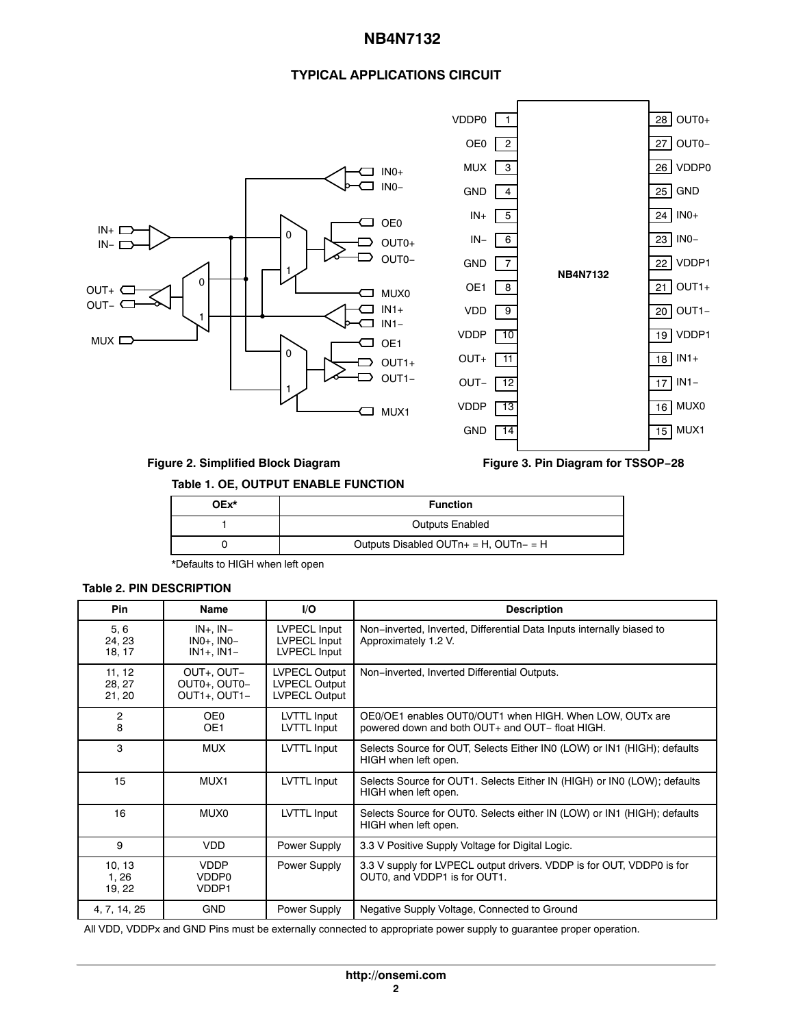# **NB4N7132**

# **TYPICAL APPLICATIONS CIRCUIT**



# **Figure 2. Simplified Block Diagram**

**Figure 3. Pin Diagram for TSSOP−28**

## **Table 1. OE, OUTPUT ENABLE FUNCTION**

| OEx* | <b>Function</b>                               |  |
|------|-----------------------------------------------|--|
|      | <b>Outputs Enabled</b>                        |  |
|      | Outputs Disabled OUT $n_+$ = H, OUT $n_-$ = H |  |

\*Defaults to HIGH when left open

#### **Table 2. PIN DESCRIPTION**

| <b>Pin</b>                 | <b>Name</b>                                      | I/O                                                           | <b>Description</b>                                                                                         |  |
|----------------------------|--------------------------------------------------|---------------------------------------------------------------|------------------------------------------------------------------------------------------------------------|--|
| 5, 6<br>24, 23<br>18, 17   | $IN+$ , $IN-$<br>$INO+$ , $INO-$<br>$IN1+, IN1-$ | <b>LVPECL Input</b><br>LVPECL Input<br>LVPECL Input           | Non-inverted, Inverted, Differential Data Inputs internally biased to<br>Approximately 1.2 V.              |  |
| 11, 12<br>28, 27<br>21, 20 | OUT+, OUT-<br>OUT0+, OUT0-<br>OUT1+, OUT1-       | <b>LVPECL Output</b><br><b>LVPECL Output</b><br>LVPECL Output | Non-inverted, Inverted Differential Outputs.                                                               |  |
| $\overline{c}$<br>8        | OE0<br>OE <sub>1</sub>                           | LVTTL Input<br>LVTTL Input                                    | OE0/OE1 enables OUT0/OUT1 when HIGH. When LOW, OUTx are<br>powered down and both OUT+ and OUT- float HIGH. |  |
| 3                          | <b>MUX</b>                                       | LVTTL Input                                                   | Selects Source for OUT, Selects Either IN0 (LOW) or IN1 (HIGH); defaults<br>HIGH when left open.           |  |
| 15                         | MUX1                                             | LVTTL Input                                                   | Selects Source for OUT1. Selects Either IN (HIGH) or IN0 (LOW); defaults<br>HIGH when left open.           |  |
| 16                         | MUX0                                             | LVTTL Input                                                   | Selects Source for OUT0. Selects either IN (LOW) or IN1 (HIGH); defaults<br>HIGH when left open.           |  |
| 9                          | <b>VDD</b>                                       | Power Supply                                                  | 3.3 V Positive Supply Voltage for Digital Logic.                                                           |  |
| 10, 13<br>1,26<br>19, 22   | <b>VDDP</b><br>VDDP0<br>VDDP1                    | Power Supply                                                  | 3.3 V supply for LVPECL output drivers. VDDP is for OUT, VDDP0 is for<br>OUT0, and VDDP1 is for OUT1.      |  |
| 4, 7, 14, 25               | <b>GND</b>                                       | Power Supply                                                  | Negative Supply Voltage, Connected to Ground                                                               |  |

All VDD, VDDPx and GND Pins must be externally connected to appropriate power supply to guarantee proper operation.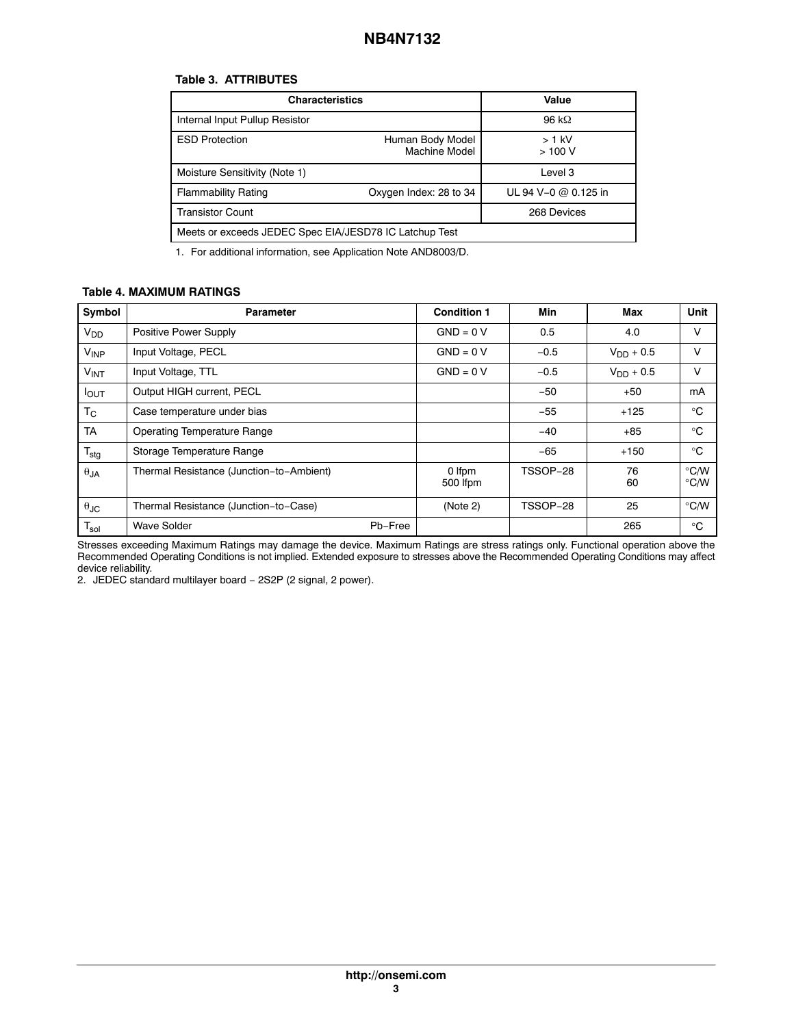## **Table 3. ATTRIBUTES**

| <b>Characteristics</b>                                 | Value                  |                      |  |  |
|--------------------------------------------------------|------------------------|----------------------|--|--|
| Internal Input Pullup Resistor                         |                        | 96 kQ                |  |  |
| <b>ESD Protection</b>                                  | $>1$ kV<br>>100V       |                      |  |  |
| Moisture Sensitivity (Note 1)                          |                        | Level 3              |  |  |
| <b>Flammability Rating</b>                             | Oxygen Index: 28 to 34 | UL 94 V-0 @ 0.125 in |  |  |
| <b>Transistor Count</b>                                | 268 Devices            |                      |  |  |
| Meets or exceeds JEDEC Spec EIA/JESD78 IC Latchup Test |                        |                      |  |  |

1. For additional information, see Application Note AND8003/D.

#### **Table 4. MAXIMUM RATINGS**

| Symbol                 | <b>Parameter</b>                         | <b>Condition 1</b> | Min      | Max            | Unit                                          |
|------------------------|------------------------------------------|--------------------|----------|----------------|-----------------------------------------------|
| $V_{DD}$               | Positive Power Supply                    | $GND = 0 V$        | 0.5      | 4.0            | $\vee$                                        |
| <b>V<sub>INP</sub></b> | Input Voltage, PECL                      | $GND = 0 V$        | $-0.5$   | $V_{DD} + 0.5$ | $\vee$                                        |
| $V_{INT}$              | Input Voltage, TTL                       | $GND = 0 V$        | $-0.5$   | $V_{DD} + 0.5$ | ν                                             |
| $I_{\text{OUT}}$       | Output HIGH current, PECL                |                    | $-50$    | $+50$          | mA                                            |
| $T_{\rm C}$            | Case temperature under bias              |                    | $-55$    | $+125$         | $^{\circ}C$                                   |
| <b>TA</b>              | <b>Operating Temperature Range</b>       |                    | $-40$    | $+85$          | °C                                            |
| $T_{\text{stg}}$       | Storage Temperature Range                |                    | $-65$    | $+150$         | °C                                            |
| $\theta_{JA}$          | Thermal Resistance (Junction-to-Ambient) | 0 Ifpm<br>500 lfpm | TSSOP-28 | 76<br>60       | $\rm ^{\circ}$ C/W<br>$\mathrm{C}/\mathrm{W}$ |
| $\theta$ JC            | Thermal Resistance (Junction-to-Case)    | (Note 2)           | TSSOP-28 | 25             | $\degree$ C/W                                 |
| $T_{sol}$              | Wave Solder<br>Pb-Free                   |                    |          | 265            | °C                                            |

Stresses exceeding Maximum Ratings may damage the device. Maximum Ratings are stress ratings only. Functional operation above the Recommended Operating Conditions is not implied. Extended exposure to stresses above the Recommended Operating Conditions may affect device reliability.

2. JEDEC standard multilayer board - 2S2P (2 signal, 2 power).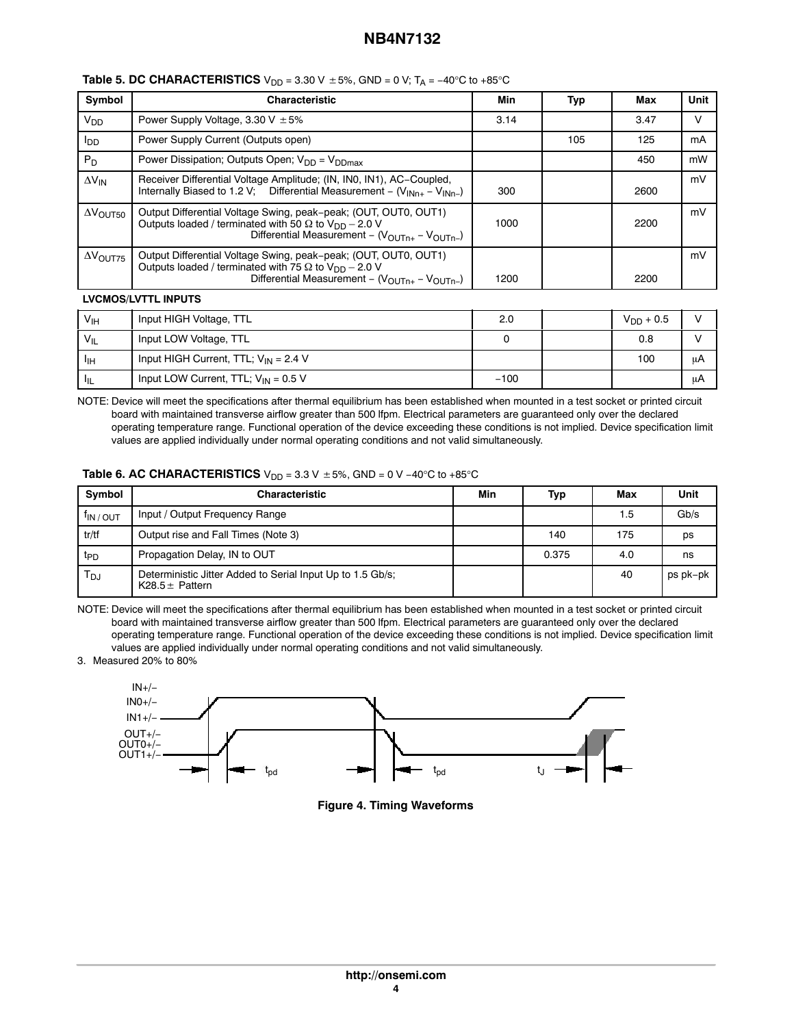# **NB4N7132**

| Symbol                 | <b>Characteristic</b>                                                                                                                                                                                     | Min  | Typ | Max  | Unit |
|------------------------|-----------------------------------------------------------------------------------------------------------------------------------------------------------------------------------------------------------|------|-----|------|------|
| <b>V<sub>DD</sub></b>  | Power Supply Voltage, 3.30 V $\pm$ 5%                                                                                                                                                                     | 3.14 |     | 3.47 | v    |
| l <sub>DD</sub>        | Power Supply Current (Outputs open)                                                                                                                                                                       |      | 105 | 125  | mA   |
| $P_D$                  | Power Dissipation; Outputs Open; V <sub>DD</sub> = V <sub>DDmax</sub>                                                                                                                                     |      |     | 450  | mW   |
| $\Delta V_{IN}$        | Receiver Differential Voltage Amplitude; (IN, IN0, IN1), AC-Coupled,<br>Internally Biased to 1.2 V; Differential Measurement - $(V_{INn+} - V_{INn-})$                                                    | 300  |     | 2600 | mV   |
| $\Delta V_{\rm OUT50}$ | Output Differential Voltage Swing, peak-peak; (OUT, OUT0, OUT1)<br>Outputs loaded / terminated with 50 $\Omega$ to $V_{DD}$ – 2.0 V<br>Differential Measurement - $(V_{\text{OUTn+}} - V_{\text{OUTn-}})$ | 1000 |     | 2200 | mV   |
| $\Delta V_{\rm OUT75}$ | Output Differential Voltage Swing, peak-peak; (OUT, OUT0, OUT1)<br>Outputs loaded / terminated with 75 $\Omega$ to $V_{DD}$ – 2.0 V<br>Differential Measurement - $(VOUTn+ - VOUTn-)$                     | 1200 |     | 2200 | mV   |

## **Table 5. DC CHARACTERISTICS**  $V_{DD}$  = 3.30 V  $\pm$  5%, GND = 0 V; T<sub>A</sub> = −40°C to +85°C

#### **LVCMOS/LVTTL INPUTS**

| V <sub>IH</sub>   | Input HIGH Voltage, TTL                   | 2.0    | $V_{DD} + 0.5$ |     |
|-------------------|-------------------------------------------|--------|----------------|-----|
| $V_{\parallel L}$ | Input LOW Voltage, TTL                    |        | 0.8            |     |
| ЧH                | Input HIGH Current, TTL; $V_{IN} = 2.4 V$ |        | 100            | ωA  |
| ா                 | Input LOW Current, TTL; $V_{IN} = 0.5 V$  | $-100$ |                | ιιA |

NOTE: Device will meet the specifications after thermal equilibrium has been established when mounted in a test socket or printed circuit board with maintained transverse airflow greater than 500 lfpm. Electrical parameters are guaranteed only over the declared operating temperature range. Functional operation of the device exceeding these conditions is not implied. Device specification limit values are applied individually under normal operating conditions and not valid simultaneously.

#### **Table 6. AC CHARACTERISTICS** V<sub>DD</sub> = 3.3 V ± 5%, GND = 0 V −40°C to +85°C

| Svmbol                | <b>Characteristic</b>                                                             |  | Typ   | Max | Unit     |
|-----------------------|-----------------------------------------------------------------------------------|--|-------|-----|----------|
| <sup>T</sup> IN / OUT | Input / Output Frequency Range                                                    |  |       | 1.5 | Gb/s     |
| tr/tf                 | Output rise and Fall Times (Note 3)                                               |  | 140   | 175 | ps       |
| t <sub>PD</sub>       | Propagation Delay, IN to OUT                                                      |  | 0.375 | 4.0 | ns       |
| $T_{DJ}$              | Deterministic Jitter Added to Serial Input Up to 1.5 Gb/s;<br>K28.5 $\pm$ Pattern |  |       | 40  | ps pk-pk |

NOTE: Device will meet the specifications after thermal equilibrium has been established when mounted in a test socket or printed circuit board with maintained transverse airflow greater than 500 lfpm. Electrical parameters are guaranteed only over the declared operating temperature range. Functional operation of the device exceeding these conditions is not implied. Device specification limit values are applied individually under normal operating conditions and not valid simultaneously.

#### 3. Measured 20% to 80%



**Figure 4. Timing Waveforms**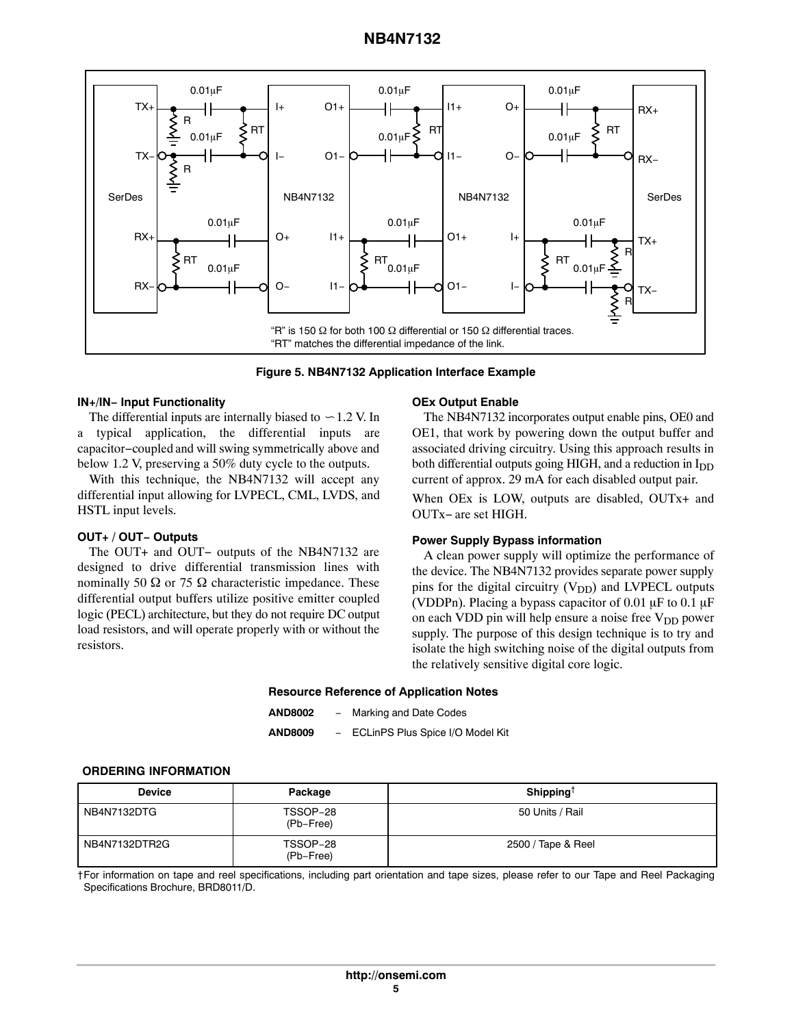<span id="page-4-0"></span>

**Figure 5. NB4N7132 Application Interface Example**

#### **IN+/IN− Input Functionality**

The differential inputs are internally biased to  $\sim$  1.2 V. In a typical application, the differential inputs are capacitor−coupled and will swing symmetrically above and below 1.2 V, preserving a 50% duty cycle to the outputs.

With this technique, the NB4N7132 will accept any differential input allowing for LVPECL, CML, LVDS, and HSTL input levels.

#### **OUT+ / OUT− Outputs**

The OUT+ and OUT− outputs of the NB4N7132 are designed to drive differential transmission lines with nominally 50  $\Omega$  or 75  $\Omega$  characteristic impedance. These differential output buffers utilize positive emitter coupled logic (PECL) architecture, but they do not require DC output load resistors, and will operate properly with or without the resistors.

#### **OEx Output Enable**

The NB4N7132 incorporates output enable pins, OE0 and OE1, that work by powering down the output buffer and associated driving circuitry. Using this approach results in both differential outputs going HIGH, and a reduction in I<sub>DD</sub> current of approx. 29 mA for each disabled output pair.

When OEx is LOW, outputs are disabled, OUTx+ and OUTx− are set HIGH.

#### **Power Supply Bypass information**

A clean power supply will optimize the performance of the device. The NB4N7132 provides separate power supply pins for the digital circuitry  $(V_{DD})$  and LVPECL outputs (VDDPn). Placing a bypass capacitor of 0.01  $\mu$ F to 0.1  $\mu$ F on each VDD pin will help ensure a noise free  $V_{DD}$  power supply. The purpose of this design technique is to try and isolate the high switching noise of the digital outputs from the relatively sensitive digital core logic.

#### **Resource Reference of Application Notes**

**AND8002** − Marking and Date Codes

**AND8009** − ECLinPS Plus Spice I/O Model Kit

## **ORDERING INFORMATION**

| <b>Device</b> | Package               | Shipping <sup>†</sup> |
|---------------|-----------------------|-----------------------|
| NB4N7132DTG   | TSSOP-28<br>(Pb-Free) | 50 Units / Rail       |
| NB4N7132DTR2G | TSSOP-28<br>(Pb-Free) | 2500 / Tape & Reel    |

†For information on tape and reel specifications, including part orientation and tape sizes, please refer to our Tape and Reel Packaging Specifications Brochure, BRD8011/D.